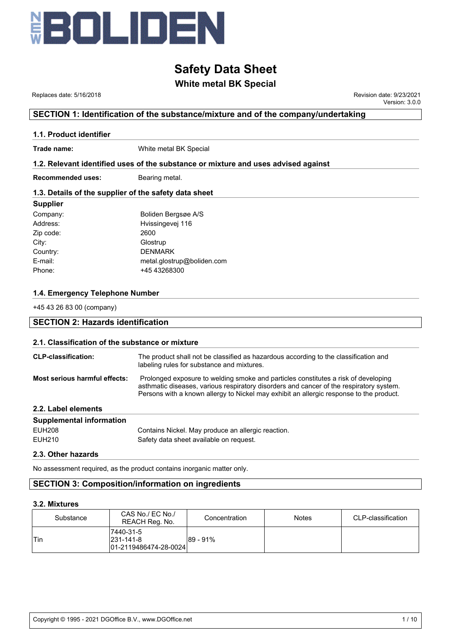

# **White metal BK Special**

 Replaces date: 5/16/2018 Revision date: 9/23/2021 Version: 3.0.0

# **SECTION 1: Identification of the substance/mixture and of the company/undertaking**

#### **1.1. Product identifier**

**Trade name:** White metal BK Special

#### **1.2. Relevant identified uses of the substance or mixture and uses advised against**

**Recommended uses:** Bearing metal.

## **1.3. Details of the supplier of the safety data sheet**

# **Supplier**

| Company:  | Boliden Bergsøe A/S        |
|-----------|----------------------------|
| Address:  | Hvissingevej 116           |
| Zip code: | 2600                       |
| City:     | Glostrup                   |
| Country:  | <b>DENMARK</b>             |
| E-mail:   | metal.glostrup@boliden.com |
| Phone:    | +45 43268300               |

#### **1.4. Emergency Telephone Number**

+45 43 26 83 00 (company)

# **SECTION 2: Hazards identification**

#### **2.1. Classification of the substance or mixture**

| <b>CLP-classification:</b>           | The product shall not be classified as hazardous according to the classification and<br>labeling rules for substance and mixtures.                                                                                                                                                      |
|--------------------------------------|-----------------------------------------------------------------------------------------------------------------------------------------------------------------------------------------------------------------------------------------------------------------------------------------|
| <b>Most serious harmful effects:</b> | Prolonged exposure to welding smoke and particles constitutes a risk of developing<br>asthmatic diseases, various respiratory disorders and cancer of the respiratory system.<br>Persons with a known allergy to Nickel may exhibit an allergic response to the product.                |
| 2.2. Label elements                  |                                                                                                                                                                                                                                                                                         |
| <b>Supplemental information</b>      |                                                                                                                                                                                                                                                                                         |
| T111000                              | $\bigcap_{i=1}^n$ and $i=1,2,3,4$ and $\bigcap_{i=1}^n$ and $\bigcap_{i=1}^n$ and $\bigcap_{i=1}^n$ and $\bigcap_{i=1}^n$ and $\bigcap_{i=1}^n$ and $\bigcap_{i=1}^n$ and $\bigcap_{i=1}^n$ and $\bigcap_{i=1}^n$ and $\bigcap_{i=1}^n$ and $\bigcap_{i=1}^n$ and $\bigcap_{i=1}^n$ and |

| EUH208 | Contains Nickel. May produce an allergic reaction. |
|--------|----------------------------------------------------|
| EUH210 | Safety data sheet available on request.            |

#### **2.3. Other hazards**

No assessment required, as the product contains inorganic matter only.

## **SECTION 3: Composition/information on ingredients**

#### **3.2. Mixtures**

| Substance | CAS No./ EC No./<br>REACH Reg. No.                       | Concentration | <b>Notes</b> | CLP-classification |
|-----------|----------------------------------------------------------|---------------|--------------|--------------------|
| 'Tin      | 17440-31-5<br>$ 231 - 141 - 8 $<br>01-2119486474-28-0024 | 89 - 91%      |              |                    |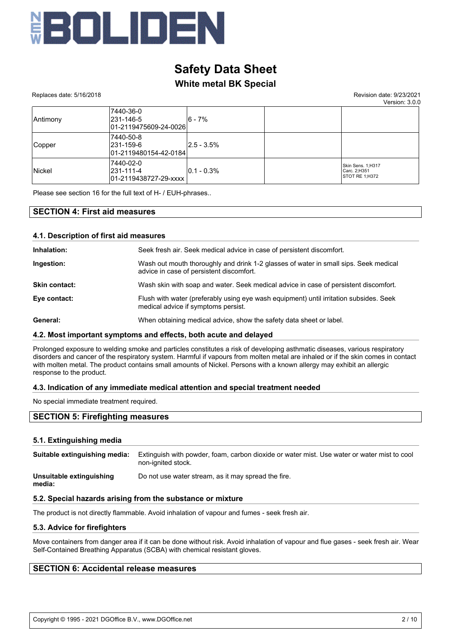

# **White metal BK Special**

Replaces date: 5/16/2018 Revision date: 9/23/2021

Version: 3.0.0

|          |                                                   |                 | version: 3.0.0                                      |
|----------|---------------------------------------------------|-----------------|-----------------------------------------------------|
| Antimony | 7440-36-0<br>231-146-5<br>101-2119475609-24-00261 | $ 6 - 7\%$      |                                                     |
| Copper   | 7440-50-8<br>231-159-6<br>01-2119480154-42-0184   | $ 2.5 - 3.5\% $ |                                                     |
| Nickel   | 7440-02-0<br>231-111-4<br>01-2119438727-29-xxxx   | $ 0.1 - 0.3\% $ | Skin Sens. 1;H317<br>Carc. 2:H351<br>STOT RE 1;H372 |

Please see section 16 for the full text of H- / EUH-phrases..

# **SECTION 4: First aid measures**

#### **4.1. Description of first aid measures**

| Inhalation:          | Seek fresh air. Seek medical advice in case of persistent discomfort.                                                            |
|----------------------|----------------------------------------------------------------------------------------------------------------------------------|
| Ingestion:           | Wash out mouth thoroughly and drink 1-2 glasses of water in small sips. Seek medical<br>advice in case of persistent discomfort. |
| <b>Skin contact:</b> | Wash skin with soap and water. Seek medical advice in case of persistent discomfort.                                             |
| Eye contact:         | Flush with water (preferably using eye wash equipment) until irritation subsides. Seek<br>medical advice if symptoms persist.    |
| General:             | When obtaining medical advice, show the safety data sheet or label.                                                              |

#### **4.2. Most important symptoms and effects, both acute and delayed**

Prolonged exposure to welding smoke and particles constitutes a risk of developing asthmatic diseases, various respiratory disorders and cancer of the respiratory system. Harmful if vapours from molten metal are inhaled or if the skin comes in contact with molten metal. The product contains small amounts of Nickel. Persons with a known allergy may exhibit an allergic response to the product.

#### **4.3. Indication of any immediate medical attention and special treatment needed**

No special immediate treatment required.

#### **SECTION 5: Firefighting measures**

#### **5.1. Extinguishing media**

| Suitable extinguishing media:      | Extinguish with powder, foam, carbon dioxide or water mist. Use water or water mist to cool<br>non-ignited stock. |
|------------------------------------|-------------------------------------------------------------------------------------------------------------------|
| Unsuitable extinguishing<br>media: | Do not use water stream, as it may spread the fire.                                                               |

#### **5.2. Special hazards arising from the substance or mixture**

The product is not directly flammable. Avoid inhalation of vapour and fumes - seek fresh air.

#### **5.3. Advice for firefighters**

Move containers from danger area if it can be done without risk. Avoid inhalation of vapour and flue gases - seek fresh air. Wear Self-Contained Breathing Apparatus (SCBA) with chemical resistant gloves.

#### **SECTION 6: Accidental release measures**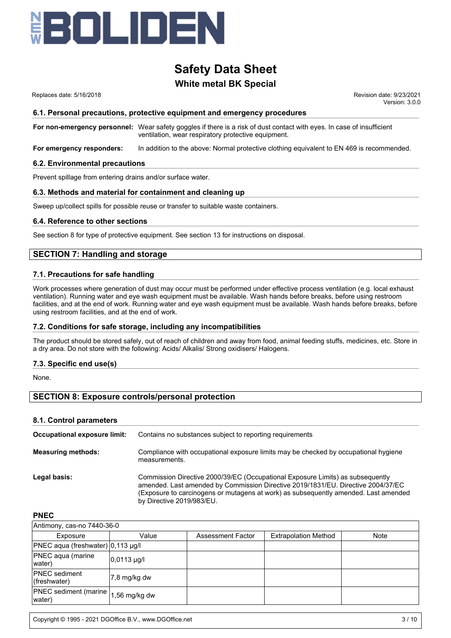

# **White metal BK Special**

 Replaces date: 5/16/2018 Revision date: 9/23/2021 Version: 3.0.0

#### **6.1. Personal precautions, protective equipment and emergency procedures**

**For non-emergency personnel:** Wear safety goggles if there is a risk of dust contact with eyes. In case of insufficient ventilation, wear respiratory protective equipment.

**For emergency responders:** In addition to the above: Normal protective clothing equivalent to EN 469 is recommended.

#### **6.2. Environmental precautions**

Prevent spillage from entering drains and/or surface water.

#### **6.3. Methods and material for containment and cleaning up**

Sweep up/collect spills for possible reuse or transfer to suitable waste containers.

#### **6.4. Reference to other sections**

See section 8 for type of protective equipment. See section 13 for instructions on disposal.

# **SECTION 7: Handling and storage**

#### **7.1. Precautions for safe handling**

Work processes where generation of dust may occur must be performed under effective process ventilation (e.g. local exhaust ventilation). Running water and eye wash equipment must be available. Wash hands before breaks, before using restroom facilities, and at the end of work. Running water and eye wash equipment must be available. Wash hands before breaks, before using restroom facilities, and at the end of work.

#### **7.2. Conditions for safe storage, including any incompatibilities**

The product should be stored safely, out of reach of children and away from food, animal feeding stuffs, medicines, etc. Store in a dry area. Do not store with the following: Acids/ Alkalis/ Strong oxidisers/ Halogens.

#### **7.3. Specific end use(s)**

None.

#### **SECTION 8: Exposure controls/personal protection**

#### **8.1. Control parameters**

| Occupational exposure limit: | Contains no substances subject to reporting requirements                                                                                                                                                                                                                               |  |
|------------------------------|----------------------------------------------------------------------------------------------------------------------------------------------------------------------------------------------------------------------------------------------------------------------------------------|--|
| <b>Measuring methods:</b>    | Compliance with occupational exposure limits may be checked by occupational hygiene<br>measurements.                                                                                                                                                                                   |  |
| Legal basis:                 | Commission Directive 2000/39/EC (Occupational Exposure Limits) as subsequently<br>amended. Last amended by Commission Directive 2019/1831/EU. Directive 2004/37/EC<br>(Exposure to carcinogens or mutagens at work) as subsequently amended. Last amended<br>by Directive 2019/983/EU. |  |

#### **PNEC**

| Antimony, cas-no 7440-36-0               |                      |                   |                             |             |
|------------------------------------------|----------------------|-------------------|-----------------------------|-------------|
| Exposure                                 | Value                | Assessment Factor | <b>Extrapolation Method</b> | <b>Note</b> |
| PNEC aqua (freshwater) 0,113 µg/l        |                      |                   |                             |             |
| <b>PNEC</b> aqua (marine<br>water)       | $ 0.0113 \text{ µq}$ |                   |                             |             |
| <b>PNEC</b> sediment<br>$ $ (freshwater) | 7,8 mg/kg dw         |                   |                             |             |
| <b>PNEC</b> sediment (marine)<br>water)  | 1,56 mg/kg dw        |                   |                             |             |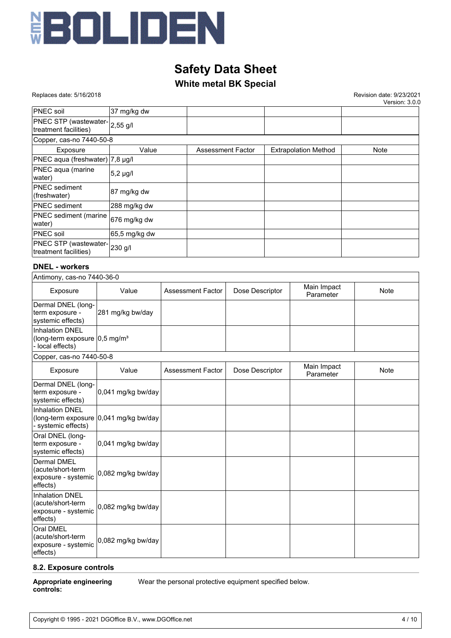

# **White metal BK Special**

Replaces date: 5/16/2018 Revision date: 9/23/2021

Version: 3.0.0

| PNEC soil                                               | 37 mg/kg dw   |                   |                             |      |
|---------------------------------------------------------|---------------|-------------------|-----------------------------|------|
| PNEC STP (wastewater-2,55 g/l)<br>treatment facilities) |               |                   |                             |      |
| Copper, cas-no 7440-50-8                                |               |                   |                             |      |
| Exposure                                                | Value         | Assessment Factor | <b>Extrapolation Method</b> | Note |
| PNEC aqua (freshwater) 7,8 µg/l                         |               |                   |                             |      |
| PNEC aqua (marine<br>water)                             | $5,2$ µg/l    |                   |                             |      |
| <b>PNEC</b> sediment<br>(freshwater)                    | 87 mg/kg dw   |                   |                             |      |
| <b>PNEC</b> sediment                                    | 288 mg/kg dw  |                   |                             |      |
| PNEC sediment (marine<br>water)                         | 676 mg/kg dw  |                   |                             |      |
| <b>PNEC</b> soil                                        | 65,5 mg/kg dw |                   |                             |      |
| PNEC STP (wastewater-)<br>treatment facilities)         | 230 g/l       |                   |                             |      |

#### **DNEL - workers**

| Antimony, cas-no 7440-36-0                                                                |                    |                          |                 |                          |             |
|-------------------------------------------------------------------------------------------|--------------------|--------------------------|-----------------|--------------------------|-------------|
| Exposure                                                                                  | Value              | <b>Assessment Factor</b> | Dose Descriptor | Main Impact<br>Parameter | <b>Note</b> |
| Dermal DNEL (long-<br>term exposure -<br>systemic effects)                                | 281 mg/kg bw/day   |                          |                 |                          |             |
| <b>Inhalation DNEL</b><br>(long-term exposure $ 0,5 \text{ mg/m}^3$ )<br>- local effects) |                    |                          |                 |                          |             |
| Copper, cas-no 7440-50-8                                                                  |                    |                          |                 |                          |             |
| Exposure                                                                                  | Value              | <b>Assessment Factor</b> | Dose Descriptor | Main Impact<br>Parameter | <b>Note</b> |
| Dermal DNEL (long-<br>term exposure -<br>systemic effects)                                | 0,041 mg/kg bw/day |                          |                 |                          |             |
| Inhalation DNEL<br>(long-term exposure 0,041 mg/kg bw/day<br>- systemic effects)          |                    |                          |                 |                          |             |
| Oral DNEL (long-<br>term exposure -<br>systemic effects)                                  | 0,041 mg/kg bw/day |                          |                 |                          |             |
| Dermal DMEL<br>(acute/short-term<br>exposure - systemic<br>effects)                       | 0,082 mg/kg bw/day |                          |                 |                          |             |
| <b>Inhalation DNEL</b><br>(acute/short-term<br>exposure - systemic<br>effects)            | 0,082 mg/kg bw/day |                          |                 |                          |             |
| Oral DMEL<br>(acute/short-term<br>exposure - systemic<br>effects)                         | 0,082 mg/kg bw/day |                          |                 |                          |             |

## **8.2. Exposure controls**

**Appropriate engineering controls:**

Wear the personal protective equipment specified below.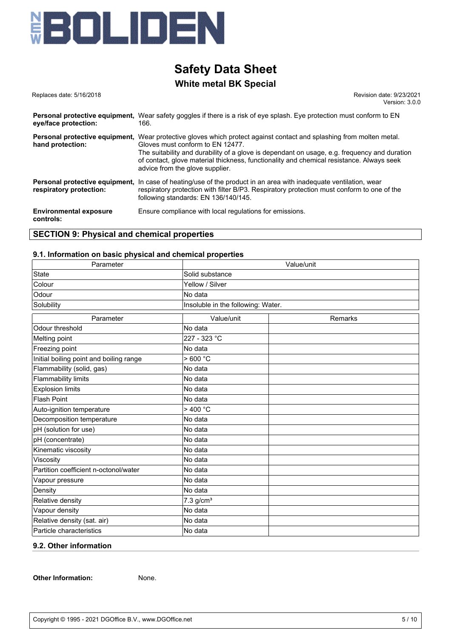

# **White metal BK Special**

| Replaces date: 5/16/2018 |  |
|--------------------------|--|
|--------------------------|--|

Revision date: 9/23/2021 Version: 3.0.0

| eye/face protection:                       | Personal protective equipment, Wear safety goggles if there is a risk of eye splash. Eye protection must conform to EN<br>166.                                                                                                                                                                                                                                                                 |
|--------------------------------------------|------------------------------------------------------------------------------------------------------------------------------------------------------------------------------------------------------------------------------------------------------------------------------------------------------------------------------------------------------------------------------------------------|
| hand protection:                           | <b>Personal protective equipment,</b> Wear protective gloves which protect against contact and splashing from molten metal.<br>Gloves must conform to FN 12477.<br>The suitability and durability of a glove is dependant on usage, e.g. frequency and duration<br>of contact, glove material thickness, functionality and chemical resistance. Always seek<br>advice from the glove supplier. |
| respiratory protection:                    | <b>Personal protective equipment,</b> In case of heating/use of the product in an area with inadequate ventilation, wear<br>respiratory protection with filter B/P3. Respiratory protection must conform to one of the<br>following standards: EN 136/140/145.                                                                                                                                 |
| <b>Environmental exposure</b><br>controls: | Ensure compliance with local regulations for emissions.                                                                                                                                                                                                                                                                                                                                        |

# **SECTION 9: Physical and chemical properties**

## **9.1. Information on basic physical and chemical properties**

| Parameter                               | Value/unit                         |         |  |  |  |
|-----------------------------------------|------------------------------------|---------|--|--|--|
| <b>State</b>                            | Solid substance                    |         |  |  |  |
| Colour                                  | Yellow / Silver                    |         |  |  |  |
| Odour                                   | No data                            |         |  |  |  |
| Solubility                              | Insoluble in the following: Water. |         |  |  |  |
| Parameter                               | Value/unit                         | Remarks |  |  |  |
| Odour threshold                         | No data                            |         |  |  |  |
| Melting point                           | 227 - 323 °C                       |         |  |  |  |
| Freezing point                          | No data                            |         |  |  |  |
| Initial boiling point and boiling range | >600 °C                            |         |  |  |  |
| Flammability (solid, gas)               | No data                            |         |  |  |  |
| <b>Flammability limits</b>              | No data                            |         |  |  |  |
| <b>Explosion limits</b>                 | No data                            |         |  |  |  |
| <b>Flash Point</b>                      | No data                            |         |  |  |  |
| Auto-ignition temperature               | >400 °C                            |         |  |  |  |
| Decomposition temperature               | No data                            |         |  |  |  |
| pH (solution for use)                   | No data                            |         |  |  |  |
| pH (concentrate)                        | No data                            |         |  |  |  |
| Kinematic viscosity                     | No data                            |         |  |  |  |
| Viscosity                               | No data                            |         |  |  |  |
| Partition coefficient n-octonol/water   | No data                            |         |  |  |  |
| Vapour pressure                         | No data                            |         |  |  |  |
| Density                                 | No data                            |         |  |  |  |
| Relative density                        | $7.3$ g/cm <sup>3</sup>            |         |  |  |  |
| Vapour density                          | No data                            |         |  |  |  |
| Relative density (sat. air)             | No data                            |         |  |  |  |
| Particle characteristics                | No data                            |         |  |  |  |

#### **9.2. Other information**

**Other Information:** None.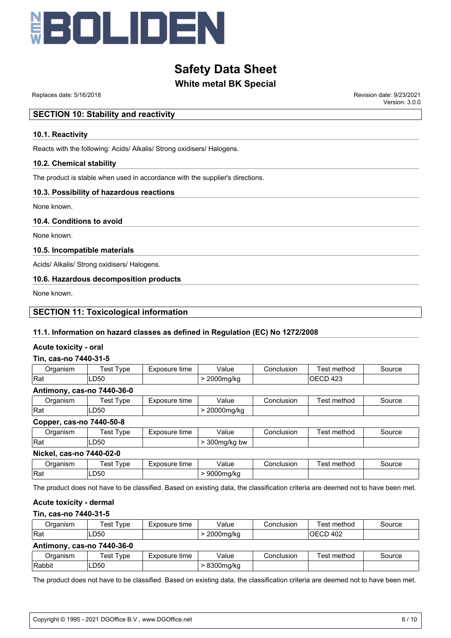

# **White metal BK Special**

 Replaces date: 5/16/2018 Revision date: 9/23/2021 Version: 3.0.0

## **SECTION 10: Stability and reactivity**

#### **10.1. Reactivity**

Reacts with the following: Acids/ Alkalis/ Strong oxidisers/ Halogens.

#### **10.2. Chemical stability**

The product is stable when used in accordance with the supplier's directions.

#### **10.3. Possibility of hazardous reactions**

None known.

#### **10.4. Conditions to avoid**

None known.

#### **10.5. Incompatible materials**

Acids/ Alkalis/ Strong oxidisers/ Halogens.

#### **10.6. Hazardous decomposition products**

None known.

## **SECTION 11: Toxicological information**

#### **11.1. Information on hazard classes as defined in Regulation (EC) No 1272/2008**

#### **Acute toxicity - oral**

#### **Tin, cas-no 7440-31-5**

| Organism | $^{\circ}$ Type<br>ēst | Exposure time | Value     | Conclusion                | ⊺est method | Source |  |  |  |
|----------|------------------------|---------------|-----------|---------------------------|-------------|--------|--|--|--|
| Rat      | LD50                   |               | 2000mg/kg | <b>IEOD</b><br>423<br>ືບ∟ |             |        |  |  |  |
| $A = 11$ |                        |               |           |                           |             |        |  |  |  |

#### **Antimony, cas-no 7440-36-0**

| )raanism   | vpe<br>est | time<br>posure | Value               | Conclusion | $\cdot$ .<br>method<br>est | source |
|------------|------------|----------------|---------------------|------------|----------------------------|--------|
| <b>Rat</b> | .∟D50      |                | 00000<br>20000ma/ka |            |                            |        |

#### **Copper, cas-no 7440-50-8**

| ragniem<br>וופווו | -<br>est<br>ype | posure<br>time | Value              | ;onclusion | <br>method<br>es | source |
|-------------------|-----------------|----------------|--------------------|------------|------------------|--------|
| Rat               | ∟D50            |                | nnn<br>300ma/ka bw |            |                  |        |
|                   |                 |                |                    |            |                  |        |

#### **Nickel, cas-no 7440-02-0**

| ∖rɑanısm | -<br>ˈest<br>vpe | time<br>-xposure<br>-^` | Value                  | Conclusion | method<br>' est | Source |
|----------|------------------|-------------------------|------------------------|------------|-----------------|--------|
| Rat      | LD50             |                         | 9000mg<br>ng/ko<br>. . |            |                 |        |

The product does not have to be classified. Based on existing data, the classification criteria are deemed not to have been met.

#### **Acute toxicity - dermal**

#### **Tin, cas-no 7440-31-5**

| Organism    | Test Tvpe                  | Exposure time | Value                    | Test method<br>Conclusion |             | Source |  |  |  |  |
|-------------|----------------------------|---------------|--------------------------|---------------------------|-------------|--------|--|--|--|--|
| <b>IRat</b> | LD50                       |               | IOECD 402<br>> 2000mg/kg |                           |             |        |  |  |  |  |
|             | Antimony, cas-no 7440-36-0 |               |                          |                           |             |        |  |  |  |  |
| Organism    | Test Type                  | Exposure time | Value                    | Conclusion                | Test method | Source |  |  |  |  |
| Rabbit      | LD50                       |               | > 8300mg/kg              |                           |             |        |  |  |  |  |

The product does not have to be classified. Based on existing data, the classification criteria are deemed not to have been met.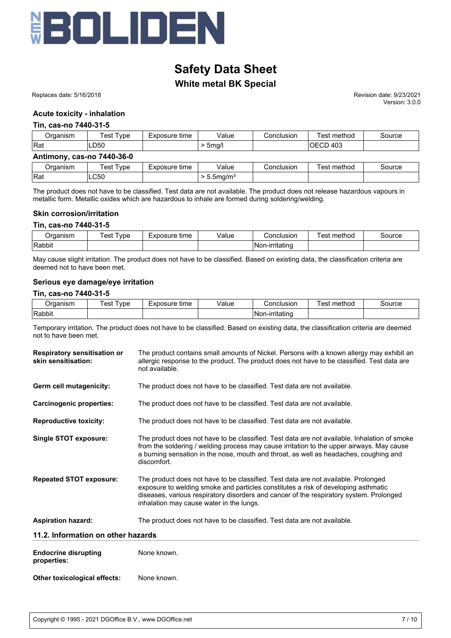

# **White metal BK Special**

 Replaces date: 5/16/2018 Revision date: 9/23/2021 Version: 3.0.0

#### **Acute toxicity - inhalation**

#### **Tin, cas-no 7440-31-5**

| Organism                   | Test Type | Exposure time                | Value<br>Conclusion       |            | Test method | Source |  |  |  |
|----------------------------|-----------|------------------------------|---------------------------|------------|-------------|--------|--|--|--|
| <b>Rat</b>                 | LD50      | <b>IOECD 403</b><br>$>$ 5mg/ |                           |            |             |        |  |  |  |
| Antimony, cas-no 7440-36-0 |           |                              |                           |            |             |        |  |  |  |
| Organism                   | Test Type | Exposure time                | Value                     | Conclusion | Test method | Source |  |  |  |
| <b>IRat</b>                | LC50      |                              | $> 5.5$ mg/m <sup>3</sup> |            |             |        |  |  |  |

The product does not have to be classified. Test data are not available. The product does not release hazardous vapours in metallic form. Metallic oxides which are hazardous to inhale are formed during soldering/welding.

#### **Skin corrosion/irritation**

#### **Tin, cas-no 7440-31-5**

| Jraanism | vpe<br>'est | Exposure<br>tıme<br>—∧DU‴ | √alue<br>. | Conclusion      | .<br>method<br>es <sup>.</sup> | source |
|----------|-------------|---------------------------|------------|-----------------|--------------------------------|--------|
| Rabbit   |             |                           |            | INon-irritating |                                |        |

May cause slight irritation. The product does not have to be classified. Based on existing data, the classification criteria are deemed not to have been met.

#### **Serious eye damage/eye irritation**

#### **Tin, cas-no 7440-31-5**

| Organism | vpe<br>'est | $\overline{\phantom{0}}$<br>Exposure<br>time<br>—xv⊶ | alue/<br>. | Conclusion                    | $\sim$ $\sim$ $\sim$<br>method<br>est | `ource |
|----------|-------------|------------------------------------------------------|------------|-------------------------------|---------------------------------------|--------|
| Rabbit   |             |                                                      |            | . .<br>. .<br>INon-irritating |                                       |        |

Temporary irritation. The product does not have to be classified. Based on existing data, the classification criteria are deemed not to have been met.

| <b>Respiratory sensitisation or</b><br>skin sensitisation: | The product contains small amounts of Nickel. Persons with a known allergy may exhibit an<br>allergic response to the product. The product does not have to be classified. Test data are<br>not available.                                                                                                      |
|------------------------------------------------------------|-----------------------------------------------------------------------------------------------------------------------------------------------------------------------------------------------------------------------------------------------------------------------------------------------------------------|
| Germ cell mutagenicity:                                    | The product does not have to be classified. Test data are not available.                                                                                                                                                                                                                                        |
| <b>Carcinogenic properties:</b>                            | The product does not have to be classified. Test data are not available.                                                                                                                                                                                                                                        |
| <b>Reproductive toxicity:</b>                              | The product does not have to be classified. Test data are not available.                                                                                                                                                                                                                                        |
| <b>Single STOT exposure:</b>                               | The product does not have to be classified. Test data are not available. Inhalation of smoke<br>from the soldering / welding process may cause irritation to the upper airways. May cause<br>a burning sensation in the nose, mouth and throat, as well as headaches, coughing and<br>discomfort.               |
| <b>Repeated STOT exposure:</b>                             | The product does not have to be classified. Test data are not available. Prolonged<br>exposure to welding smoke and particles constitutes a risk of developing asthmatic<br>diseases, various respiratory disorders and cancer of the respiratory system. Prolonged<br>inhalation may cause water in the lungs. |
| <b>Aspiration hazard:</b>                                  | The product does not have to be classified. Test data are not available.                                                                                                                                                                                                                                        |
| 11.2. Information on other hazards                         |                                                                                                                                                                                                                                                                                                                 |
| <b>Endocrine disrupting</b><br>properties:                 | None known.                                                                                                                                                                                                                                                                                                     |
| <b>Other toxicological effects:</b>                        | None known.                                                                                                                                                                                                                                                                                                     |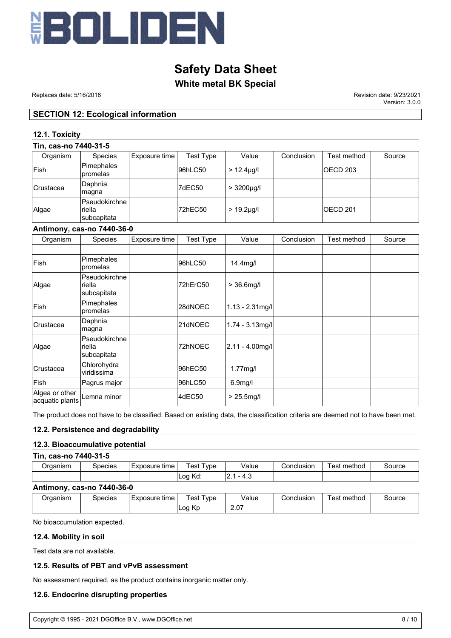

# **White metal BK Special**

 Replaces date: 5/16/2018 Revision date: 9/23/2021 Version: 3.0.0

## **SECTION 12: Ecological information**

### **12.1. Toxicity**

## **Tin, cas-no 7440-31-5**

| Organism    | <b>Species</b>                          | Exposure time | Test Type | Value            | Conclusion | Test method      | Source |
|-------------|-----------------------------------------|---------------|-----------|------------------|------------|------------------|--------|
| <b>Fish</b> | Pimephales<br>promelas                  |               | 96hLC50   | $> 12.4 \mu$ g/l |            | OECD 203         |        |
| Crustacea   | Daphnia<br> magna                       |               | 7dEC50    | $> 3200 \mu q/l$ |            |                  |        |
| Algae       | Pseudokirchne<br>riella<br> subcapitata |               | 72hEC50   | $> 19.2$ µg/l    |            | <b>IOECD 201</b> |        |

#### **Antimony, cas-no 7440-36-0**

| Organism                          | <b>Species</b>                         | Exposure time | <b>Test Type</b> | Value                | Conclusion | Test method | Source |
|-----------------------------------|----------------------------------------|---------------|------------------|----------------------|------------|-------------|--------|
|                                   |                                        |               |                  |                      |            |             |        |
| Fish                              | Pimephales<br>promelas                 |               | 96hLC50          | 14.4mg/l             |            |             |        |
| Algae                             | Pseudokirchne<br>riella<br>subcapitata |               | 72hErC50         | $> 36.6$ mg/l        |            |             |        |
| Fish                              | Pimephales<br>promelas                 |               | 28dNOEC          | $1.13 - 2.31$ mg/l   |            |             |        |
| Crustacea                         | Daphnia<br>magna                       |               | 21dNOEC          | $1.74 - 3.13$ mg/l   |            |             |        |
| Algae                             | Pseudokirchne<br>riella<br>subcapitata |               | 72hNOEC          | 2.11 - 4.00mg/l      |            |             |        |
| Crustacea                         | Chlorohydra<br>viridissima             |               | 96hEC50          | $1.77$ mg/l          |            |             |        |
| Fish                              | Pagrus major                           |               | 96hLC50          | 6.9 <sub>mg</sub> /l |            |             |        |
| Algea or other<br>acquatic plants | Lemna minor                            |               | 4dEC50           | $> 25.5$ mg/l        |            |             |        |

The product does not have to be classified. Based on existing data, the classification criteria are deemed not to have been met.

#### **12.2. Persistence and degradability**

#### **12.3. Bioaccumulative potential**

#### **Tin, cas-no 7440-31-5**

| __       | ____<br>_____ |                  |                        |           |            |                         |        |
|----------|---------------|------------------|------------------------|-----------|------------|-------------------------|--------|
| Jraanism | ipecies       | time<br>Exposure | $\tau$ vpe<br>'est     | Value     | tonclusion | . .<br>∶method<br>. est | source |
|          |               |                  | . K J<br>.∟00 ∶<br>ra. | т. с<br>. |            |                         |        |

#### **Antimony, cas-no 7440-36-0**

| Organism | Species | -xposure<br>time | $\overline{\phantom{a}}$<br>vpe<br>⊺est | Value         | Conclusion | _<br>⊺est<br>∵method | Source |
|----------|---------|------------------|-----------------------------------------|---------------|------------|----------------------|--------|
|          |         |                  | Ko<br>$\sim$<br>∽<br>. .                | 2.07<br>_____ |            |                      |        |

No bioaccumulation expected.

#### **12.4. Mobility in soil**

Test data are not available.

#### **12.5. Results of PBT and vPvB assessment**

No assessment required, as the product contains inorganic matter only.

#### **12.6. Endocrine disrupting properties**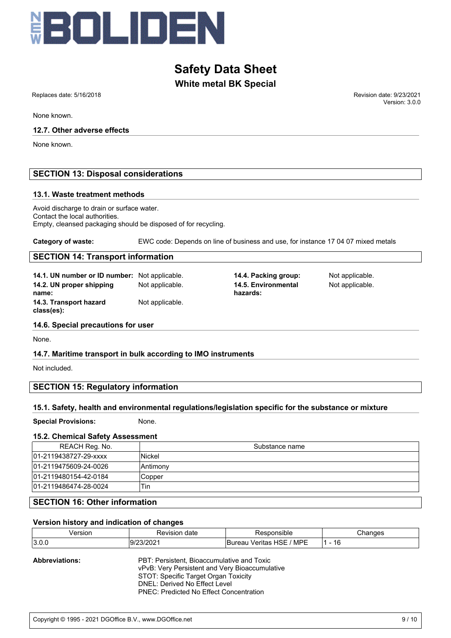

# **White metal BK Special**

None known.

#### **12.7. Other adverse effects**

None known.

## **SECTION 13: Disposal considerations**

#### **13.1. Waste treatment methods**

Avoid discharge to drain or surface water. Contact the local authorities. Empty, cleansed packaging should be disposed of for recycling.

**Category of waste:** EWC code: Depends on line of business and use, for instance 17 04 07 mixed metals

## **SECTION 14: Transport information**

**14.1. UN number or ID number:** Not applicable. **14.4. Packing group:** Not applicable. **14.2. UN proper shipping name: 14.3. Transport hazard class(es):** Not applicable.

Not applicable. **14.5. Environmental hazards:**

Not applicable.

#### **14.6. Special precautions for user**

None.

#### **14.7. Maritime transport in bulk according to IMO instruments**

Not included.

## **SECTION 15: Regulatory information**

#### **15.1. Safety, health and environmental regulations/legislation specific for the substance or mixture**

**Special Provisions:** None.

#### **15.2. Chemical Safety Assessment**

| REACH Reg. No.        | Substance name |
|-----------------------|----------------|
| 01-2119438727-29-xxxx | lNickel        |
| 01-2119475609-24-0026 | lAntimonv      |
| 01-2119480154-42-0184 | Copper         |
| 01-2119486474-28-0024 | Tin            |
| . .                   | . .            |

## **SECTION 16: Other information**

#### **Version history and indication of changes**

| Version | date<br>Revision | onsible <sup>.</sup>            | --                 |
|---------|------------------|---------------------------------|--------------------|
| 3.0.0   | l9/23/2021       | MPE<br>HSE<br>/eritas<br>sureau | <br>. .<br>-<br>טו |

**Abbreviations:** PBT: Persistent, Bioaccumulative and Toxic vPvB: Very Persistent and Very Bioaccumulative STOT: Specific Target Organ Toxicity DNEL: Derived No Effect Level PNEC: Predicted No Effect Concentration

 Replaces date: 5/16/2018 Revision date: 9/23/2021 Version: 3.0.0